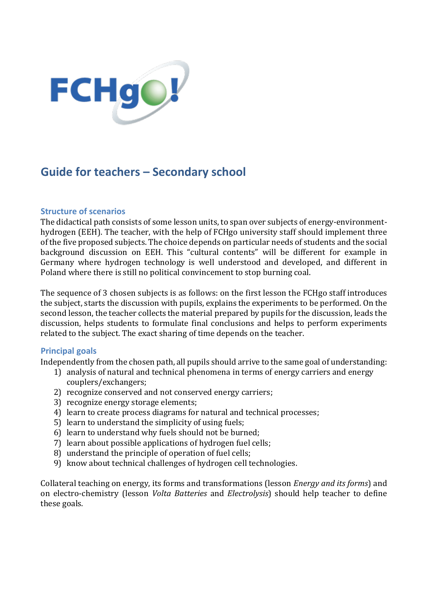

# **Guide for teachers – Secondary school**

#### **Structure of scenarios**

The didactical path consists of some lesson units, to span over subjects of energy-environmenthydrogen (EEH). The teacher, with the help of FCHgo university staff should implement three of the five proposed subjects. The choice depends on particular needs of students and the social background discussion on EEH. This "cultural contents" will be different for example in Germany where hydrogen technology is well understood and developed, and different in Poland where there is still no political convincement to stop burning coal.

The sequence of 3 chosen subjects is as follows: on the first lesson the FCHgo staff introduces the subject, starts the discussion with pupils, explains the experiments to be performed. On the second lesson, the teacher collects the material prepared by pupils for the discussion, leads the discussion, helps students to formulate final conclusions and helps to perform experiments related to the subject. The exact sharing of time depends on the teacher.

## **Principal goals**

Independently from the chosen path, all pupils should arrive to the same goal of understanding:

- 1) analysis of natural and technical phenomena in terms of energy carriers and energy couplers/exchangers;
- 2) recognize conserved and not conserved energy carriers;
- 3) recognize energy storage elements;
- 4) learn to create process diagrams for natural and technical processes;
- 5) learn to understand the simplicity of using fuels;
- 6) learn to understand why fuels should not be burned;
- 7) learn about possible applications of hydrogen fuel cells;
- 8) understand the principle of operation of fuel cells;
- 9) know about technical challenges of hydrogen cell technologies.

Collateral teaching on energy, its forms and transformations (lesson *Energy and its forms*) and on electro-chemistry (lesson *Volta Batteries* and *Electrolysis*) should help teacher to define these goals.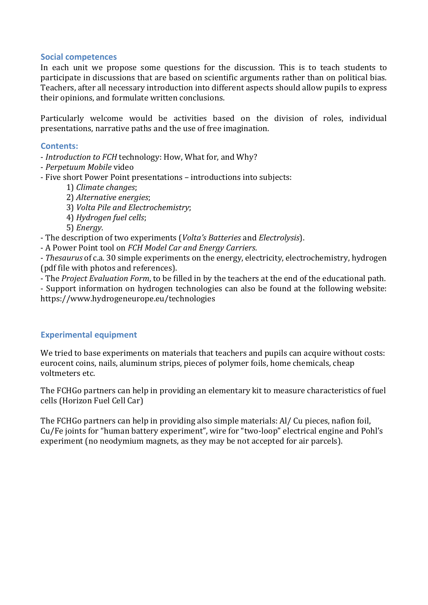## **Social competences**

In each unit we propose some questions for the discussion. This is to teach students to participate in discussions that are based on scientific arguments rather than on political bias. Teachers, after all necessary introduction into different aspects should allow pupils to express their opinions, and formulate written conclusions.

Particularly welcome would be activities based on the division of roles, individual presentations, narrative paths and the use of free imagination.

#### **Contents:**

- *Introduction to FCH* technology: How, What for, and Why?

- *Perpetuum Mobile* video
- Five short Power Point presentations introductions into subjects:
	- 1) *Climate changes*;

2) *Alternative energies*;

- 3) *Volta Pile and Electrochemistry*;
- 4) *Hydrogen fuel cells*;
- 5) *Energy*.

- The description of two experiments (*Volta's Batteries* and *Electrolysis*).

- A Power Point tool on *FCH Model Car and Energy Carriers*.

- *Thesaurus* of c.a. 30 simple experiments on the energy, electricity, electrochemistry, hydrogen (pdf file with photos and references).

- The *Project Evaluation Form*, to be filled in by the teachers at the end of the educational path.

- Support information on hydrogen technologies can also be found at the following website: https://www.hydrogeneurope.eu/technologies

## **Experimental equipment**

We tried to base experiments on materials that teachers and pupils can acquire without costs: eurocent coins, nails, aluminum strips, pieces of polymer foils, home chemicals, cheap voltmeters etc.

The FCHGo partners can help in providing an elementary kit to measure characteristics of fuel cells (Horizon Fuel Cell Car)

The FCHGo partners can help in providing also simple materials: Al/ Cu pieces, nafion foil, Cu/Fe joints for "human battery experiment", wire for "two-loop" electrical engine and Pohl's experiment (no neodymium magnets, as they may be not accepted for air parcels).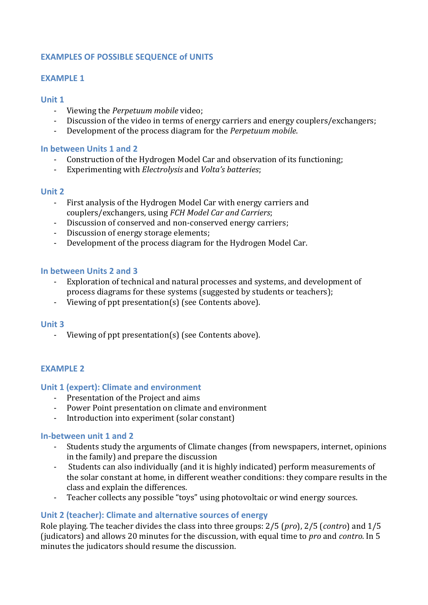## **EXAMPLES OF POSSIBLE SEQUENCE of UNITS**

#### **EXAMPLE 1**

#### **Unit 1**

- Viewing the *Perpetuum mobile* video;
- Discussion of the video in terms of energy carriers and energy couplers/exchangers;
- Development of the process diagram for the *Perpetuum mobile*.

#### **In between Units 1 and 2**

- Construction of the Hydrogen Model Car and observation of its functioning;
- Experimenting with *Electrolysis* and *Volta's batteries*;

#### **Unit 2**

- First analysis of the Hydrogen Model Car with energy carriers and couplers/exchangers, using *FCH Model Car and Carriers*;
- Discussion of conserved and non-conserved energy carriers;
- Discussion of energy storage elements;
- Development of the process diagram for the Hydrogen Model Car.

#### **In between Units 2 and 3**

- Exploration of technical and natural processes and systems, and development of process diagrams for these systems (suggested by students or teachers);
- Viewing of ppt presentation(s) (see Contents above).

#### **Unit 3**

- Viewing of ppt presentation(s) (see Contents above).

## **EXAMPLE 2**

## **Unit 1 (expert): Climate and environment**

- Presentation of the Project and aims
- Power Point presentation on climate and environment
- Introduction into experiment (solar constant)

#### **In-between unit 1 and 2**

- Students study the arguments of Climate changes (from newspapers, internet, opinions in the family) and prepare the discussion
- Students can also individually (and it is highly indicated) perform measurements of the solar constant at home, in different weather conditions: they compare results in the class and explain the differences.
- Teacher collects any possible "toys" using photovoltaic or wind energy sources.

## **Unit 2 (teacher): Climate and alternative sources of energy**

Role playing. The teacher divides the class into three groups: 2/5 (*pro*), 2/5 (*contro*) and 1/5 (judicators) and allows 20 minutes for the discussion, with equal time to *pro* and *contro*. In 5 minutes the judicators should resume the discussion.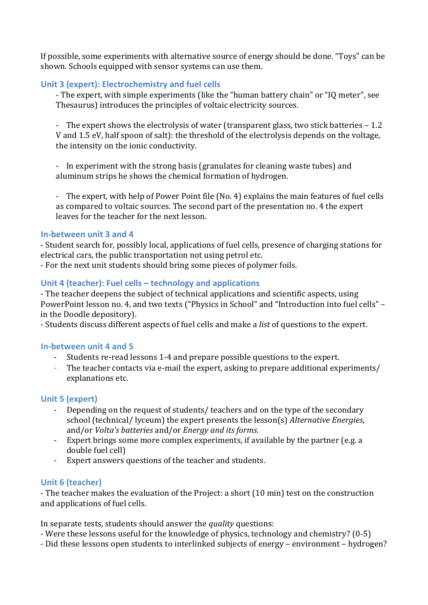If possible, some experiments with alternative source of energy should be done. "Toys" can be shown. Schools equipped with sensor systems can use them.

# **Unit 3 (expert): Electrochemistry and fuel cells**

- The expert, with simple experiments (like the "human battery chain" or "IQ meter", see Thesaurus) introduces the principles of voltaic electricity sources.

- The expert shows the electrolysis of water (transparent glass, two stick batteries – 1.2 V and 1.5 eV, half spoon of salt): the threshold of the electrolysis depends on the voltage, the intensity on the ionic conductivity.

- In experiment with the strong basis (granulates for cleaning waste tubes) and aluminum strips he shows the chemical formation of hydrogen.

- The expert, with help of Power Point file (No. 4) explains the main features of fuel cells as compared to voltaic sources. The second part of the presentation no. 4 the expert leaves for the teacher for the next lesson.

## **In-between unit 3 and 4**

- Student search for, possibly local, applications of fuel cells, presence of charging stations for electrical cars, the public transportation not using petrol etc.

- For the next unit students should bring some pieces of polymer foils.

# **Unit 4 (teacher): Fuel cells – technology and applications**

- The teacher deepens the subject of technical applications and scientific aspects, using PowerPoint lesson no. 4, and two texts ("Physics in School" and "Introduction into fuel cells" – in the Doodle depository).

- Students discuss different aspects of fuel cells and make a *list* of questions to the expert.

# **In-between unit 4 and 5**

- Students re-read lessons 1-4 and prepare possible questions to the expert.
- The teacher contacts via e-mail the expert, asking to prepare additional experiments/ explanations etc.

# **Unit 5 (expert)**

- Depending on the request of students/ teachers and on the type of the secondary school (technical/ lyceum) the expert presents the lesson(s) *Alternative Energies*, and/or *Volta's batteries* and/or *Energy and its forms*.
- Expert brings some more complex experiments, if available by the partner (e.g. a double fuel cell)
- Expert answers questions of the teacher and students.

# **Unit 6 (teacher)**

- The teacher makes the evaluation of the Project: a short (10 min) test on the construction and applications of fuel cells.

In separate tests, students should answer the *quality* questions:

- Were these lessons useful for the knowledge of physics, technology and chemistry? (0-5)
- Did these lessons open students to interlinked subjects of energy environment hydrogen?